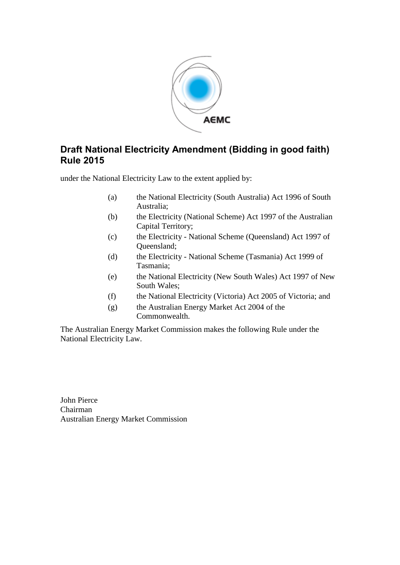

## **Draft National Electricity Amendment (Bidding in good faith) Rule 2015**

under the National Electricity Law to the extent applied by:

- (a) the National Electricity (South Australia) Act 1996 of South Australia;
- (b) the Electricity (National Scheme) Act 1997 of the Australian Capital Territory;
- (c) the Electricity National Scheme (Queensland) Act 1997 of Queensland;
- (d) the Electricity National Scheme (Tasmania) Act 1999 of Tasmania;
- (e) the National Electricity (New South Wales) Act 1997 of New South Wales;
- (f) the National Electricity (Victoria) Act 2005 of Victoria; and
- (g) the Australian Energy Market Act 2004 of the Commonwealth.

The Australian Energy Market Commission makes the following Rule under the National Electricity Law.

John Pierce Chairman Australian Energy Market Commission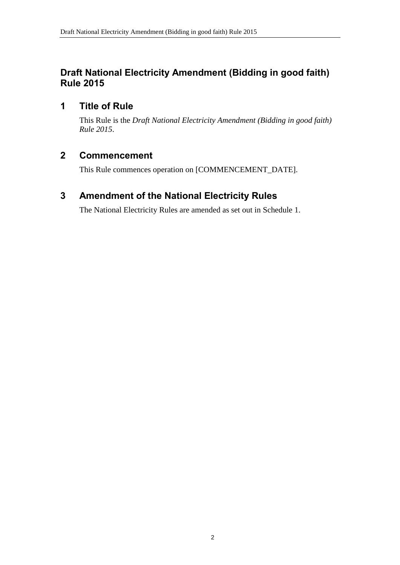## **Draft National Electricity Amendment (Bidding in good faith) Rule 2015**

## **1 Title of Rule**

This Rule is the *Draft National Electricity Amendment (Bidding in good faith) Rule 2015*.

## **2 Commencement**

This Rule commences operation on [COMMENCEMENT\_DATE].

# <span id="page-1-0"></span>**3 Amendment of the National Electricity Rules**

The National Electricity Rules are amended as set out in [Schedule 1.](#page-2-0)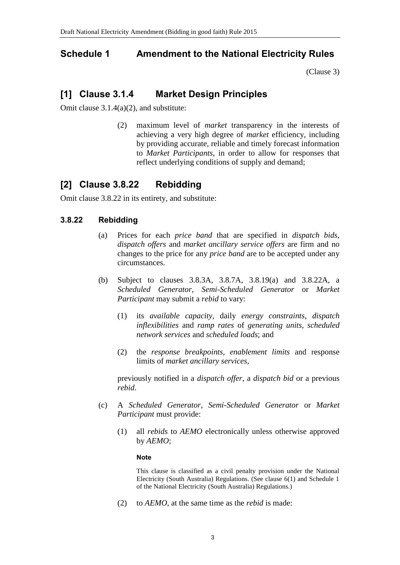### <span id="page-2-0"></span>**Schedule 1 Amendment to the National Electricity Rules**

[\(Clause 3\)](#page-1-0)

## **[1] Clause 3.1.4 Market Design Principles**

Omit clause 3.1.4(a)(2), and substitute:

(2) maximum level of *market* transparency in the interests of achieving a very high degree of *market* efficiency, including by providing accurate, reliable and timely forecast information to *Market Participants*, in order to allow for responses that reflect underlying conditions of supply and demand;

# **[2] Clause 3.8.22 Rebidding**

Omit clause 3.8.22 in its entirety, and substitute:

### **3.8.22 Rebidding**

- (a) Prices for each *price band* that are specified in *dispatch bids*, *dispatch offers* and *market ancillary service offers* are firm and no changes to the price for any *price band* are to be accepted under any circumstances.
- (b) Subject to clauses 3.8.3A, 3.8.7A, 3.8.19(a) and 3.8.22A, a *Scheduled Generator*, *Semi-Scheduled Generator* or *Market Participant* may submit a *rebid* to vary:
	- (1) its *available capacity*, daily *energy constraints*, *dispatch inflexibilities* and *ramp rates* of *generating units*, *scheduled network services* and *scheduled loads*; and
	- (2) the *response breakpoints*, *enablement limits* and response limits of *market ancillary services*,

previously notified in a *dispatch offer*, a *dispatch bid* or a previous *rebid*.

- (c) A *Scheduled Generator*, *Semi-Scheduled Generator* or *Market Participant* must provide:
	- (1) all *rebids* to *AEMO* electronically unless otherwise approved by *AEMO*;

### **Note**

This clause is classified as a civil penalty provision under the National Electricity (South Australia) Regulations. (See clause 6(1) and Schedule 1 of the National Electricity (South Australia) Regulations.)

(2) to *AEMO*, at the same time as the *rebid* is made: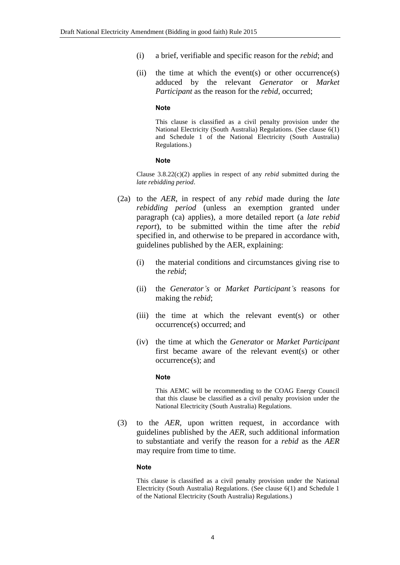- (i) a brief, verifiable and specific reason for the *rebid*; and
- (ii) the time at which the event(s) or other occurrence(s) adduced by the relevant *Generator* or *Market Participant* as the reason for the *rebid*, occurred;

#### **Note**

This clause is classified as a civil penalty provision under the National Electricity (South Australia) Regulations. (See clause 6(1) and Schedule 1 of the National Electricity (South Australia) Regulations.)

#### **Note**

Clause 3.8.22(c)(2) applies in respect of any *rebid* submitted during the *late rebidding period*.

- (2a) to the *AER*, in respect of any *rebid* made during the *late rebidding period* (unless an exemption granted under paragraph (ca) applies), a more detailed report (a *late rebid report*), to be submitted within the time after the *rebid* specified in, and otherwise to be prepared in accordance with, guidelines published by the AER, explaining:
	- (i) the material conditions and circumstances giving rise to the *rebid*;
	- (ii) the *Generator's* or *Market Participant's* reasons for making the *rebid*;
	- (iii) the time at which the relevant event(s) or other occurrence(s) occurred; and
	- (iv) the time at which the *Generator* or *Market Participant* first became aware of the relevant event(s) or other occurrence(s); and

#### **Note**

This AEMC will be recommending to the COAG Energy Council that this clause be classified as a civil penalty provision under the National Electricity (South Australia) Regulations.

(3) to the *AER*, upon written request, in accordance with guidelines published by the *AER*, such additional information to substantiate and verify the reason for a *rebid* as the *AER* may require from time to time.

#### **Note**

This clause is classified as a civil penalty provision under the National Electricity (South Australia) Regulations. (See clause 6(1) and Schedule 1 of the National Electricity (South Australia) Regulations.)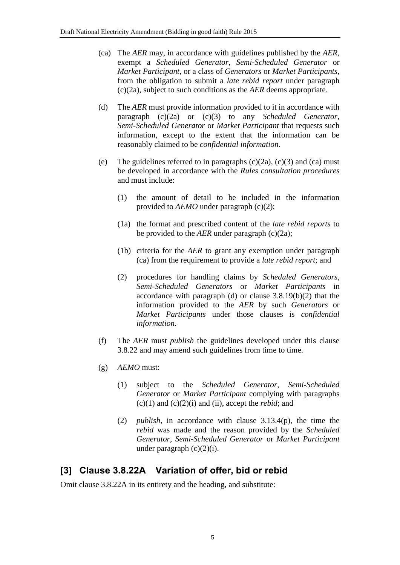- (ca) The *AER* may, in accordance with guidelines published by the *AER*, exempt a *Scheduled Generator*, *Semi-Scheduled Generator* or *Market Participant*, or a class of *Generators* or *Market Participants*, from the obligation to submit a *late rebid report* under paragraph (c)(2a), subject to such conditions as the *AER* deems appropriate.
- (d) The *AER* must provide information provided to it in accordance with paragraph (c)(2a) or (c)(3) to any *Scheduled Generator*, *Semi-Scheduled Generator* or *Market Participant* that requests such information, except to the extent that the information can be reasonably claimed to be *confidential information*.
- (e) The guidelines referred to in paragraphs  $(c)(2a)$ ,  $(c)(3)$  and  $(ca)$  must be developed in accordance with the *Rules consultation procedures* and must include:
	- (1) the amount of detail to be included in the information provided to *AEMO* under paragraph (c)(2);
	- (1a) the format and prescribed content of the *late rebid reports* to be provided to the *AER* under paragraph (c)(2a);
	- (1b) criteria for the *AER* to grant any exemption under paragraph (ca) from the requirement to provide a *late rebid report*; and
	- (2) procedures for handling claims by *Scheduled Generators*, *Semi-Scheduled Generators* or *Market Participants* in accordance with paragraph (d) or clause 3.8.19(b)(2) that the information provided to the *AER* by such *Generators* or *Market Participants* under those clauses is *confidential information*.
- (f) The *AER* must *publish* the guidelines developed under this clause 3.8.22 and may amend such guidelines from time to time.
- (g) *AEMO* must:
	- (1) subject to the *Scheduled Generator*, *Semi-Scheduled Generator* or *Market Participant* complying with paragraphs  $(c)(1)$  and  $(c)(2)(i)$  and  $(ii)$ , accept the *rebid*; and
	- (2) *publish*, in accordance with clause 3.13.4(p), the time the *rebid* was made and the reason provided by the *Scheduled Generator*, *Semi-Scheduled Generator* or *Market Participant* under paragraph  $(c)(2)(i)$ .

## **[3] Clause 3.8.22A Variation of offer, bid or rebid**

Omit clause 3.8.22A in its entirety and the heading, and substitute: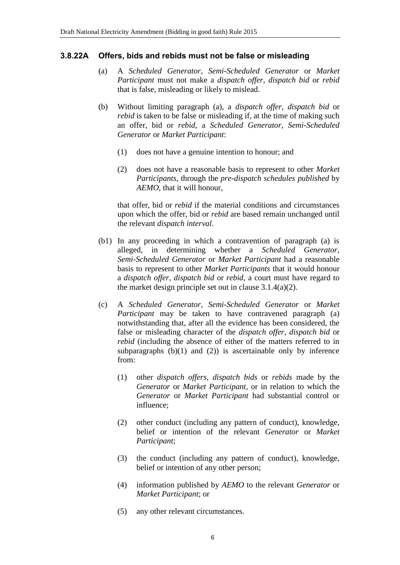### **3.8.22A Offers, bids and rebids must not be false or misleading**

- (a) A *Scheduled Generator*, *Semi-Scheduled Generator* or *Market Participant* must not make a *dispatch offer*, *dispatch bid* or *rebid* that is false, misleading or likely to mislead.
- (b) Without limiting paragraph (a), a *dispatch offer*, *dispatch bid* or *rebid* is taken to be false or misleading if, at the time of making such an offer, bid or *rebid*, a *Scheduled Generator*, *Semi-Scheduled Generator* or *Market Participant*:
	- (1) does not have a genuine intention to honour; and
	- (2) does not have a reasonable basis to represent to other *Market Participants*, through the *pre-dispatch schedules published* by *AEMO*, that it will honour,

that offer, bid or *rebid* if the material conditions and circumstances upon which the offer, bid or *rebid* are based remain unchanged until the relevant *dispatch interval*.

- (b1) In any proceeding in which a contravention of paragraph (a) is alleged, in determining whether a *Scheduled Generator*, *Semi-Scheduled Generator* or *Market Participant* had a reasonable basis to represent to other *Market Participants* that it would honour a *dispatch offer*, *dispatch bid* or *rebid*, a court must have regard to the market design principle set out in clause  $3.1.4(a)(2)$ .
- (c) A *Scheduled Generator*, *Semi-Scheduled Generator* or *Market Participant* may be taken to have contravened paragraph (a) notwithstanding that, after all the evidence has been considered, the false or misleading character of the *dispatch offer*, *dispatch bid* or *rebid* (including the absence of either of the matters referred to in subparagraphs  $(b)(1)$  and  $(2)$ ) is ascertainable only by inference from:
	- (1) other *dispatch offers*, *dispatch bids* or *rebids* made by the *Generator* or *Market Participant*, or in relation to which the *Generator* or *Market Participant* had substantial control or influence;
	- (2) other conduct (including any pattern of conduct), knowledge, belief or intention of the relevant *Generator* or *Market Participant*;
	- (3) the conduct (including any pattern of conduct), knowledge, belief or intention of any other person;
	- (4) information published by *AEMO* to the relevant *Generator* or *Market Participant*; or
	- (5) any other relevant circumstances.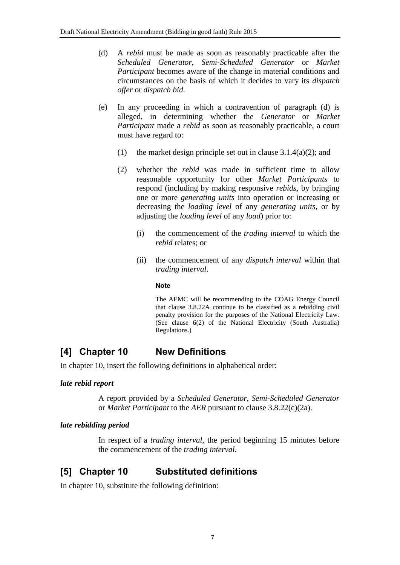- (d) A *rebid* must be made as soon as reasonably practicable after the *Scheduled Generator*, *Semi-Scheduled Generator* or *Market Participant* becomes aware of the change in material conditions and circumstances on the basis of which it decides to vary its *dispatch offer* or *dispatch bid*.
- (e) In any proceeding in which a contravention of paragraph (d) is alleged, in determining whether the *Generator* or *Market Participant* made a *rebid* as soon as reasonably practicable, a court must have regard to:
	- (1) the market design principle set out in clause  $3.1.4(a)(2)$ ; and
	- (2) whether the *rebid* was made in sufficient time to allow reasonable opportunity for other *Market Participants* to respond (including by making responsive *rebids*, by bringing one or more *generating units* into operation or increasing or decreasing the *loading level* of any *generating units*, or by adjusting the *loading level* of any *load*) prior to:
		- (i) the commencement of the *trading interval* to which the *rebid* relates; or
		- (ii) the commencement of any *dispatch interval* within that *trading interval*.

### **Note**

The AEMC will be recommending to the COAG Energy Council that clause 3.8.22A continue to be classified as a rebidding civil penalty provision for the purposes of the National Electricity Law. (See clause 6(2) of the National Electricity (South Australia) Regulations.)

## **[4] Chapter 10 New Definitions**

In chapter 10, insert the following definitions in alphabetical order:

### *late rebid report*

A report provided by a *Scheduled Generator*, *Semi-Scheduled Generator* or *Market Participant* to the *AER* pursuant to clause 3.8.22(c)(2a).

### *late rebidding period*

In respect of a *trading interval*, the period beginning 15 minutes before the commencement of the *trading interval*.

### **[5] Chapter 10 Substituted definitions**

In chapter 10, substitute the following definition: